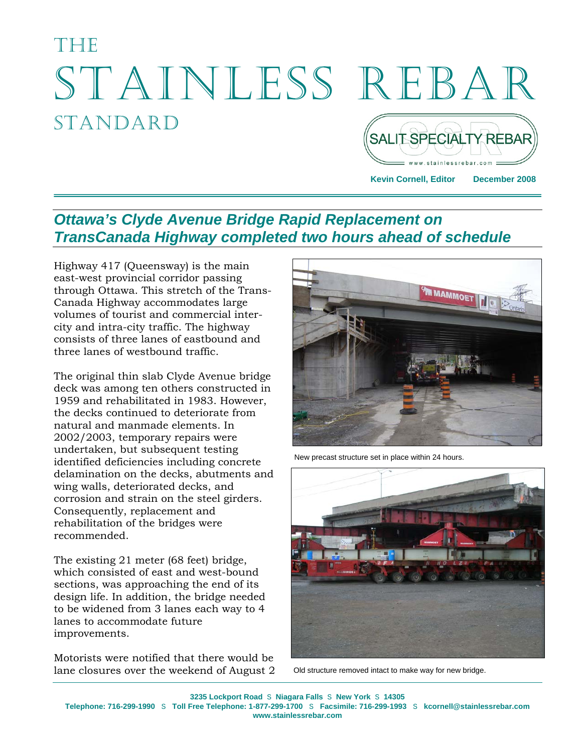# THETH STAINLESS REBAR STANDARD SALIT SPECIALTY REBAR

**Kevin Cornell, Editor December 2008** 

# *Ottawa's Clyde Avenue Bridge Rapid Replacement on TransCanada Highway completed two hours ahead of schedule*

Highway 417 (Queensway) is the main east-west provincial corridor passing through Ottawa. This stretch of the Trans-Canada Highway accommodates large volumes of tourist and commercial intercity and intra-city traffic. The highway consists of three lanes of eastbound and three lanes of westbound traffic.

The original thin slab Clyde Avenue bridge deck was among ten others constructed in 1959 and rehabilitated in 1983. However, the decks continued to deteriorate from natural and manmade elements. In 2002/2003, temporary repairs were undertaken, but subsequent testing identified deficiencies including concrete delamination on the decks, abutments and wing walls, deteriorated decks, and corrosion and strain on the steel girders. Consequently, replacement and rehabilitation of the bridges were recommended.

The existing 21 meter (68 feet) bridge, which consisted of east and west-bound sections, was approaching the end of its design life. In addition, the bridge needed to be widened from 3 lanes each way to 4 lanes to accommodate future improvements.

Motorists were notified that there would be lane closures over the weekend of August 2



New precast structure set in place within 24 hours.



Old structure removed intact to make way for new bridge.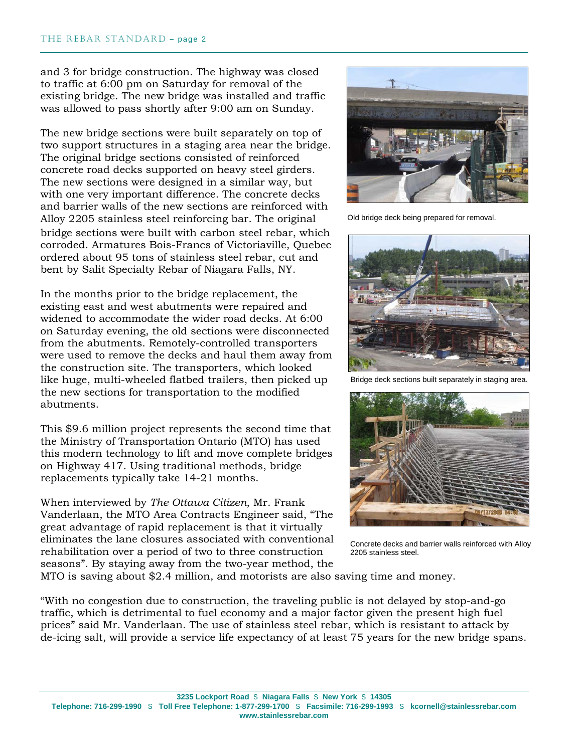and 3 for bridge construction. The highway was closed to traffic at 6:00 pm on Saturday for removal of the existing bridge. The new bridge was installed and traffic was allowed to pass shortly after 9:00 am on Sunday.

The new bridge sections were built separately on top of two support structures in a staging area near the bridge. The original bridge sections consisted of reinforced concrete road decks supported on heavy steel girders. The new sections were designed in a similar way, but with one very important difference. The concrete decks and barrier walls of the new sections are reinforced with Alloy 2205 stainless steel reinforcing bar. The original bridge sections were built with carbon steel rebar, which corroded. Armatures Bois-Francs of Victoriaville, Quebec ordered about 95 tons of stainless steel rebar, cut and bent by Salit Specialty Rebar of Niagara Falls, NY.

In the months prior to the bridge replacement, the existing east and west abutments were repaired and widened to accommodate the wider road decks. At 6:00 on Saturday evening, the old sections were disconnected from the abutments. Remotely-controlled transporters were used to remove the decks and haul them away from the construction site. The transporters, which looked like huge, multi-wheeled flatbed trailers, then picked up the new sections for transportation to the modified abutments.

This \$9.6 million project represents the second time that the Ministry of Transportation Ontario (MTO) has used this modern technology to lift and move complete bridges on Highway 417. Using traditional methods, bridge replacements typically take 14-21 months.

When interviewed by *The Ottawa Citizen*, Mr. Frank Vanderlaan, the MTO Area Contracts Engineer said, "The great advantage of rapid replacement is that it virtually eliminates the lane closures associated with conventional rehabilitation over a period of two to three construction seasons". By staying away from the two-year method, the



Old bridge deck being prepared for removal.



Bridge deck sections built separately in staging area.



Concrete decks and barrier walls reinforced with Alloy 2205 stainless steel.

MTO is saving about \$2.4 million, and motorists are also saving time and money.

"With no congestion due to construction, the traveling public is not delayed by stop-and-go traffic, which is detrimental to fuel economy and a major factor given the present high fuel prices" said Mr. Vanderlaan. The use of stainless steel rebar, which is resistant to attack by de-icing salt, will provide a service life expectancy of at least 75 years for the new bridge spans.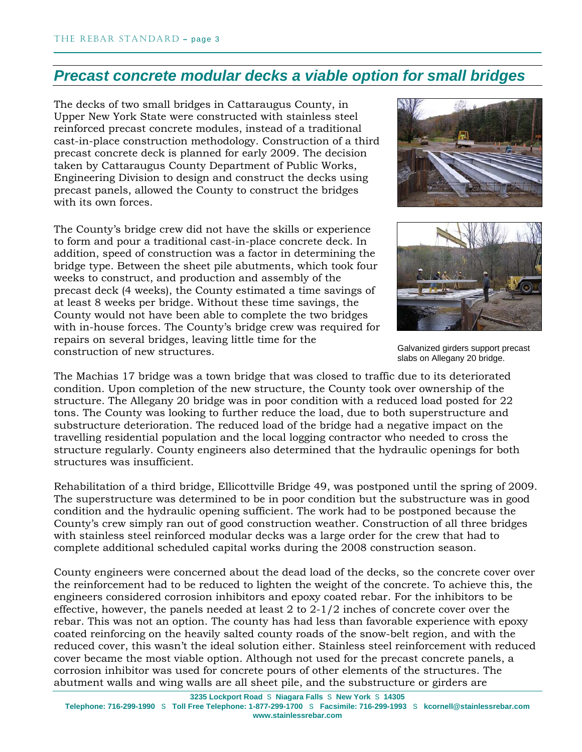## *Precast concrete modular decks a viable option for small bridges*

The decks of two small bridges in Cattaraugus County, in Upper New York State were constructed with stainless steel reinforced precast concrete modules, instead of a traditional cast-in-place construction methodology. Construction of a third precast concrete deck is planned for early 2009. The decision taken by Cattaraugus County Department of Public Works, Engineering Division to design and construct the decks using precast panels, allowed the County to construct the bridges with its own forces.

The County's bridge crew did not have the skills or experience to form and pour a traditional cast-in-place concrete deck. In addition, speed of construction was a factor in determining the bridge type. Between the sheet pile abutments, which took four weeks to construct, and production and assembly of the precast deck (4 weeks), the County estimated a time savings of at least 8 weeks per bridge. Without these time savings, the County would not have been able to complete the two bridges with in-house forces. The County's bridge crew was required for repairs on several bridges, leaving little time for the construction of new structures.





Galvanized girders support precast slabs on Allegany 20 bridge.

The Machias 17 bridge was a town bridge that was closed to traffic due to its deteriorated condition. Upon completion of the new structure, the County took over ownership of the structure. The Allegany 20 bridge was in poor condition with a reduced load posted for 22 tons. The County was looking to further reduce the load, due to both superstructure and substructure deterioration. The reduced load of the bridge had a negative impact on the travelling residential population and the local logging contractor who needed to cross the structure regularly. County engineers also determined that the hydraulic openings for both structures was insufficient.

Rehabilitation of a third bridge, Ellicottville Bridge 49, was postponed until the spring of 2009. The superstructure was determined to be in poor condition but the substructure was in good condition and the hydraulic opening sufficient. The work had to be postponed because the County's crew simply ran out of good construction weather. Construction of all three bridges with stainless steel reinforced modular decks was a large order for the crew that had to complete additional scheduled capital works during the 2008 construction season.

County engineers were concerned about the dead load of the decks, so the concrete cover over the reinforcement had to be reduced to lighten the weight of the concrete. To achieve this, the engineers considered corrosion inhibitors and epoxy coated rebar. For the inhibitors to be effective, however, the panels needed at least 2 to  $2\times 1/2$  inches of concrete cover over the rebar. This was not an option. The county has had less than favorable experience with epoxy coated reinforcing on the heavily salted county roads of the snow-belt region, and with the reduced cover, this wasn't the ideal solution either. Stainless steel reinforcement with reduced cover became the most viable option. Although not used for the precast concrete panels, a corrosion inhibitor was used for concrete pours of other elements of the structures. The abutment walls and wing walls are all sheet pile, and the substructure or girders are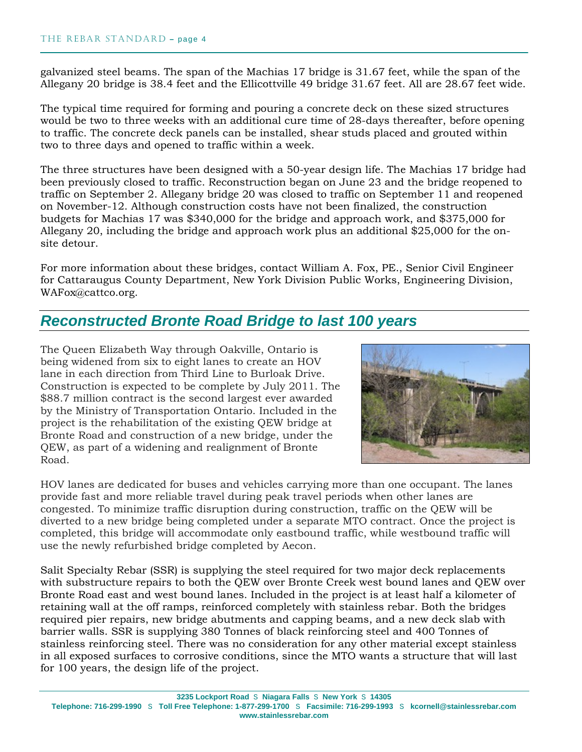galvanized steel beams. The span of the Machias 17 bridge is 31.67 feet, while the span of the Allegany 20 bridge is 38.4 feet and the Ellicottville 49 bridge 31.67 feet. All are 28.67 feet wide.

The typical time required for forming and pouring a concrete deck on these sized structures would be two to three weeks with an additional cure time of 28-days thereafter, before opening to traffic. The concrete deck panels can be installed, shear studs placed and grouted within two to three days and opened to traffic within a week.

The three structures have been designed with a 50-year design life. The Machias 17 bridge had been previously closed to traffic. Reconstruction began on June 23 and the bridge reopened to traffic on September 2. Allegany bridge 20 was closed to traffic on September 11 and reopened on November-12. Although construction costs have not been finalized, the construction budgets for Machias 17 was \$340,000 for the bridge and approach work, and \$375,000 for Allegany 20, including the bridge and approach work plus an additional \$25,000 for the onsite detour.

For more information about these bridges, contact William A. Fox, PE., Senior Civil Engineer for Cattaraugus County Department, New York Division Public Works, Engineering Division, WAFox@cattco.org.

## *Reconstructed Bronte Road Bridge to last 100 years*

The Queen Elizabeth Way through Oakville, Ontario is being widened from six to eight lanes to create an HOV lane in each direction from Third Line to Burloak Drive. Construction is expected to be complete by July 2011. The \$88.7 million contract is the second largest ever awarded by the Ministry of Transportation Ontario. Included in the project is the rehabilitation of the existing QEW bridge at Bronte Road and construction of a new bridge, under the QEW, as part of a widening and realignment of Bronte Road.



HOV lanes are dedicated for buses and vehicles carrying more than one occupant. The lanes provide fast and more reliable travel during peak travel periods when other lanes are congested. To minimize traffic disruption during construction, traffic on the QEW will be diverted to a new bridge being completed under a separate MTO contract. Once the project is completed, this bridge will accommodate only eastbound traffic, while westbound traffic will use the newly refurbished bridge completed by Aecon.

Salit Specialty Rebar (SSR) is supplying the steel required for two major deck replacements with substructure repairs to both the QEW over Bronte Creek west bound lanes and QEW over Bronte Road east and west bound lanes. Included in the project is at least half a kilometer of retaining wall at the off ramps, reinforced completely with stainless rebar. Both the bridges required pier repairs, new bridge abutments and capping beams, and a new deck slab with barrier walls. SSR is supplying 380 Tonnes of black reinforcing steel and 400 Tonnes of stainless reinforcing steel. There was no consideration for any other material except stainless in all exposed surfaces to corrosive conditions, since the MTO wants a structure that will last for 100 years, the design life of the project.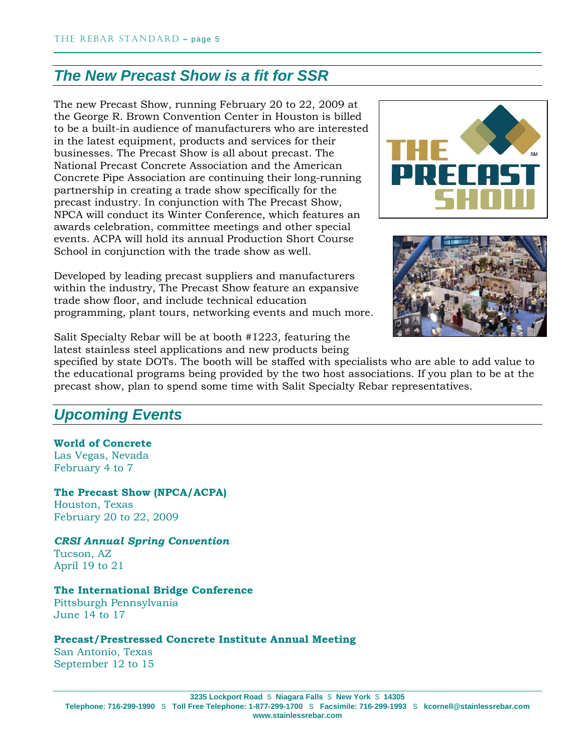## *The New Precast Show is a fit for SSR*

The new Precast Show, running February 20 to 22, 2009 at the George R. Brown Convention Center in Houston is billed to be a built-in audience of manufacturers who are interested in the latest equipment, products and services for their businesses. The Precast Show is all about precast. The National Precast Concrete Association and the American Concrete Pipe Association are continuing their long-running partnership in creating a trade show specifically for the precast industry. In conjunction with The Precast Show, NPCA will conduct its Winter Conference, which features an awards celebration, committee meetings and other special events. ACPA will hold its annual Production Short Course School in conjunction with the trade show as well.

Developed by leading precast suppliers and manufacturers within the industry, The Precast Show feature an expansive trade show floor, and include technical education programming, plant tours, networking events and much more.





Salit Specialty Rebar will be at booth #1223, featuring the

latest stainless steel applications and new products being

specified by state DOTs. The booth will be staffed with specialists who are able to add value to the educational programs being provided by the two host associations. If you plan to be at the precast show, plan to spend some time with Salit Specialty Rebar representatives.

## *Upcoming Events*

#### **World of Concrete**  Las Vegas, Nevada

February 4 to 7

**The Precast Show (NPCA/ACPA)**  Houston, Texas February 20 to 22, 2009

*CRSI Annual Spring Convention* Tucson, AZ April 19 to 21

#### **The International Bridge Conference**

Pittsburgh Pennsylvania June 14 to 17

#### **Precast/Prestressed Concrete Institute Annual Meeting**

San Antonio, Texas September 12 to 15